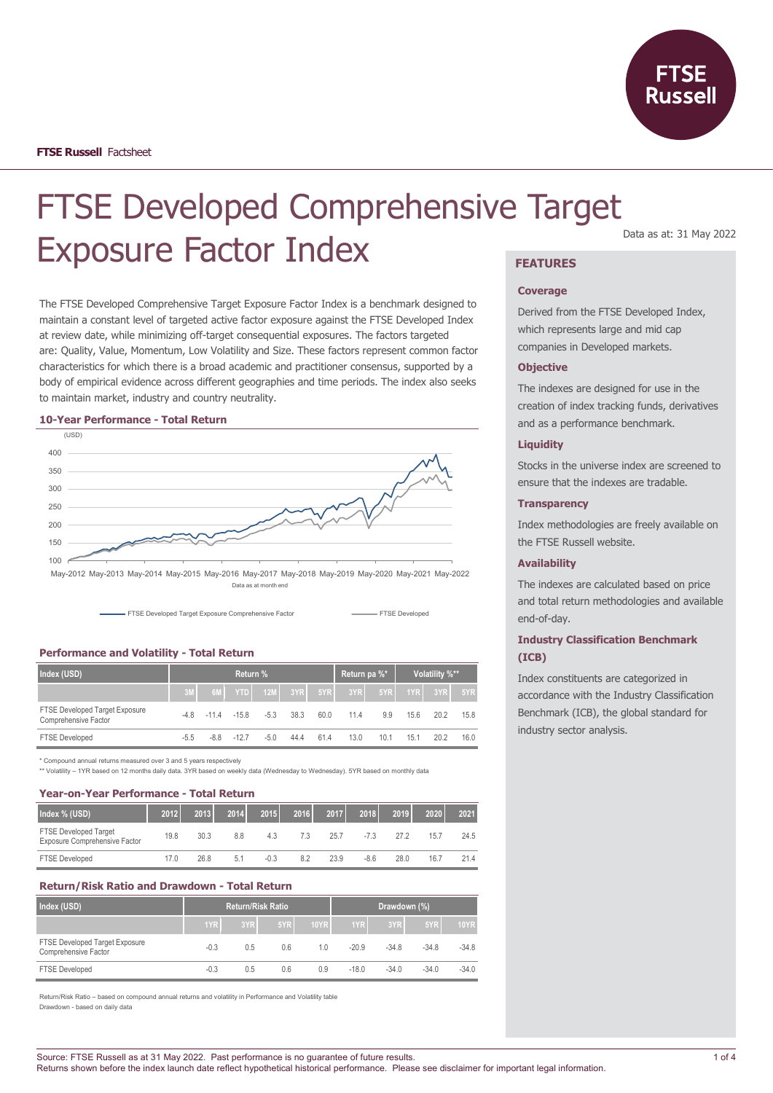

# FTSE Developed Comprehensive Target Exposure Factor Index **FEATURES**

The FTSE Developed Comprehensive Target Exposure Factor Index is a benchmark designed to maintain a constant level of targeted active factor exposure against the FTSE Developed Index at review date, while minimizing off-target consequential exposures. The factors targeted are: Quality, Value, Momentum, Low Volatility and Size. These factors represent common factor characteristics for which there is a broad academic and practitioner consensus, supported by a body of empirical evidence across different geographies and time periods. The index also seeks to maintain market, industry and country neutrality.

#### **10-Year Performance - Total Return**



Data as at month end

FTSE Developed Target Exposure Comprehensive Factor **FTSE Developed** FTSE Developed

## **Performance and Volatility - Total Return**

| Index (USD)                                            | Return % |        |          |        |           | Return pa %* |      | Volatility %** |      |         |      |
|--------------------------------------------------------|----------|--------|----------|--------|-----------|--------------|------|----------------|------|---------|------|
|                                                        | 3M       |        | $6M$ YTD |        | $12M$ 3YR | 5YR          | 3YR  | 5YR            |      | 1YR 3YR | 5YR  |
| FTSE Developed Target Exposure<br>Comprehensive Factor | -4 8     | $-114$ | $-15.8$  | $-5.3$ | 38.3      | 60.0         | 11.4 | 9.9            | 15.6 | 20.2    | 15.8 |
| <b>FTSE Developed</b>                                  | $-5.5$   | $-8.8$ | $-127$   | $-5.0$ | 44.4      | 61.4         | 13.0 | 10.1           | 15.1 | 20.2    | 16.0 |

\* Compound annual returns measured over 3 and 5 years respectively

\*\* Volatility – 1YR based on 12 months daily data. 3YR based on weekly data (Wednesday to Wednesday). 5YR based on monthly data

#### **Year-on-Year Performance - Total Return**

| Index % (USD)                                                 | 2012 | 2013 | 2014 | 2015   | 2016 | 2017 | 2018   | 2019 | 2020 | 2021 |
|---------------------------------------------------------------|------|------|------|--------|------|------|--------|------|------|------|
| <b>FTSE Developed Target</b><br>Exposure Comprehensive Factor | 19.8 | 30.3 | 8.8  | 4.3    | 7.3  | 25.7 | $-7.3$ | 272  | 15.7 | 24.5 |
| <b>FTSE Developed</b>                                         | 17.0 | 26.8 | 5.1  | $-0.3$ | 8.2  | 23.9 | $-8.6$ | 28.0 | 16.7 | 21.4 |

## **Return/Risk Ratio and Drawdown - Total Return**

| Index (USD)                                            |        | <b>Return/Risk Ratio</b> |     |             |         | Drawdown (%) |         |             |
|--------------------------------------------------------|--------|--------------------------|-----|-------------|---------|--------------|---------|-------------|
|                                                        | 1YR    | 3YR                      | 5YR | <b>10YR</b> | 1YR     | 3YR          | 5YR     | <b>10YR</b> |
| FTSE Developed Target Exposure<br>Comprehensive Factor | $-0.3$ | 0.5                      | 0.6 | 10          | $-20.9$ | $-34.8$      | $-34.8$ | $-34.8$     |
| <b>FTSE Developed</b>                                  | $-0.3$ | 0.5                      | 0.6 | 0.9         | $-18.0$ | $-34.0$      | $-34.0$ | $-34.0$     |

Return/Risk Ratio – based on compound annual returns and volatility in Performance and Volatility table Drawdown - based on daily data

Data as at: 31 May 2022

#### **Coverage**

Derived from the FTSE Developed Index, which represents large and mid cap companies in Developed markets.

## **Objective**

The indexes are designed for use in the creation of index tracking funds, derivatives and as a performance benchmark.

## **Liquidity**

Stocks in the universe index are screened to ensure that the indexes are tradable.

## **Transparency**

Index methodologies are freely available on the FTSE Russell website.

## **Availability**

The indexes are calculated based on price and total return methodologies and available end-of-day.

## **Industry Classification Benchmark (ICB)**

Index constituents are categorized in accordance with the Industry Classification Benchmark (ICB), the global standard for industry sector analysis.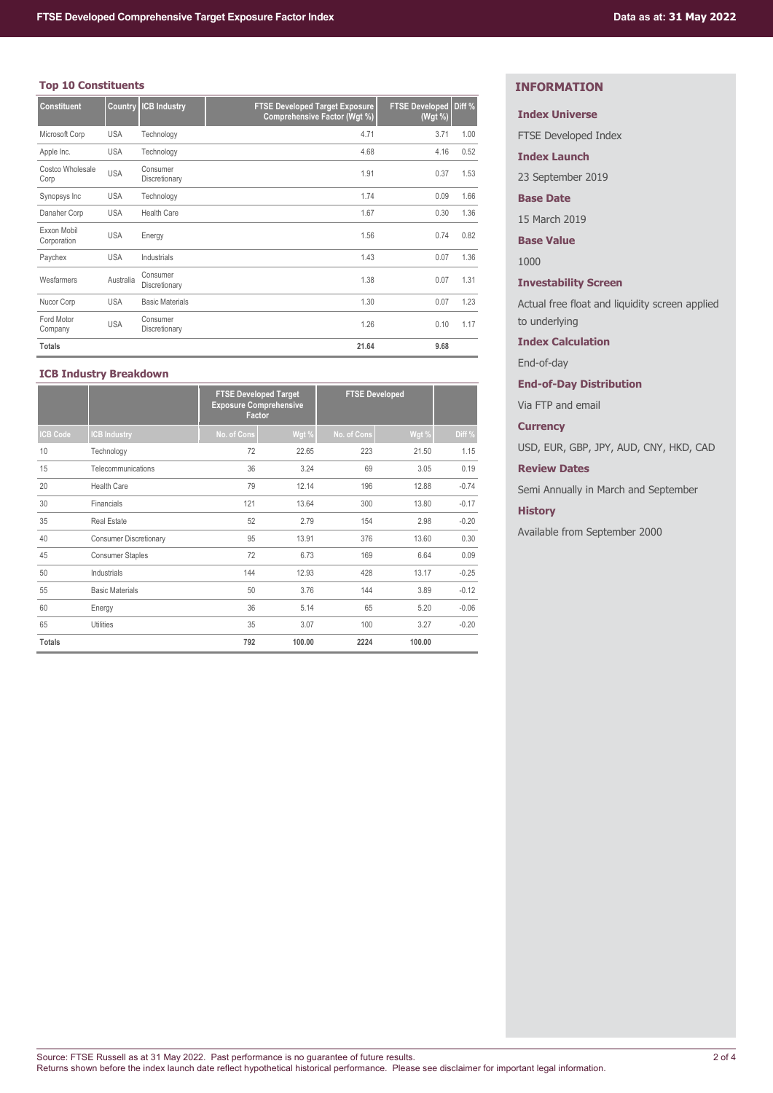## **Top 10 Constituents**

| <b>Constituent</b>         | <b>Country</b> | <b>ICB Industry</b>       | <b>FTSE Developed Target Exposure</b><br>Comprehensive Factor (Wgt %) | <b>FTSE Developed</b><br>(Wgt %) | Diff % |
|----------------------------|----------------|---------------------------|-----------------------------------------------------------------------|----------------------------------|--------|
| Microsoft Corp             | <b>USA</b>     | Technology                | 4.71                                                                  | 3.71                             | 1.00   |
| Apple Inc.                 | <b>USA</b>     | Technology                | 4.68                                                                  | 4.16                             | 0.52   |
| Costco Wholesale<br>Corp   | <b>USA</b>     | Consumer<br>Discretionary | 1.91                                                                  | 0.37                             | 1.53   |
| Synopsys Inc               | <b>USA</b>     | Technology                | 1.74                                                                  | 0.09                             | 1.66   |
| Danaher Corp               | <b>USA</b>     | <b>Health Care</b>        | 1.67                                                                  | 0.30                             | 1.36   |
| Exxon Mobil<br>Corporation | <b>USA</b>     | Energy                    | 1.56                                                                  | 0.74                             | 0.82   |
| Paychex                    | <b>USA</b>     | Industrials               | 1.43                                                                  | 0.07                             | 1.36   |
| Wesfarmers                 | Australia      | Consumer<br>Discretionary | 1.38                                                                  | 0.07                             | 1.31   |
| Nucor Corp                 | <b>USA</b>     | <b>Basic Materials</b>    | 1.30                                                                  | 0.07                             | 1.23   |
| Ford Motor<br>Company      | <b>USA</b>     | Consumer<br>Discretionary | 1.26                                                                  | 0.10                             | 1.17   |
| <b>Totals</b>              |                |                           | 21.64                                                                 | 9.68                             |        |

## **ICB Industry Breakdown**

|                 |                               | <b>FTSE Developed Target</b><br><b>Exposure Comprehensive</b><br><b>Factor</b> |        | <b>FTSE Developed</b> |        |         |
|-----------------|-------------------------------|--------------------------------------------------------------------------------|--------|-----------------------|--------|---------|
| <b>ICB Code</b> | <b>CB Industry</b>            | No. of Cons                                                                    | Wgt %  | No. of Cons           | Wgt %  | Diff %  |
| 10              | Technology                    | 72                                                                             | 22.65  | 223                   | 21.50  | 1.15    |
| 15              | Telecommunications            | 36                                                                             | 3.24   | 69                    | 3.05   | 0.19    |
| 20              | Health Care                   | 79                                                                             | 12.14  | 196                   | 12.88  | $-0.74$ |
| 30              | Financials                    | 121                                                                            | 13.64  | 300                   | 13.80  | $-0.17$ |
| 35              | <b>Real Estate</b>            | 52                                                                             | 2.79   | 154                   | 2.98   | $-0.20$ |
| 40              | <b>Consumer Discretionary</b> | 95                                                                             | 13.91  | 376                   | 13.60  | 0.30    |
| 45              | <b>Consumer Staples</b>       | 72                                                                             | 6.73   | 169                   | 6.64   | 0.09    |
| 50              | Industrials                   | 144                                                                            | 12.93  | 428                   | 13.17  | $-0.25$ |
| 55              | <b>Basic Materials</b>        | 50                                                                             | 3.76   | 144                   | 3.89   | $-0.12$ |
| 60              | Energy                        | 36                                                                             | 5.14   | 65                    | 5.20   | $-0.06$ |
| 65              | <b>Utilities</b>              | 35                                                                             | 3.07   | 100                   | 3.27   | $-0.20$ |
| <b>Totals</b>   |                               | 792                                                                            | 100.00 | 2224                  | 100.00 |         |

## **INFORMATION**

## **Index Universe**

FTSE Developed Index

**Index Launch**

23 September 2019

## **Base Date**

15 March 2019

**Base Value**

1000

## **Investability Screen**

Actual free float and liquidity screen applied to underlying

**Index Calculation**

End-of-day

## **End-of-Day Distribution**

Via FTP and email

## **Currency**

USD, EUR, GBP, JPY, AUD, CNY, HKD, CAD

## **Review Dates**

Semi Annually in March and September

## **History**

Available from September 2000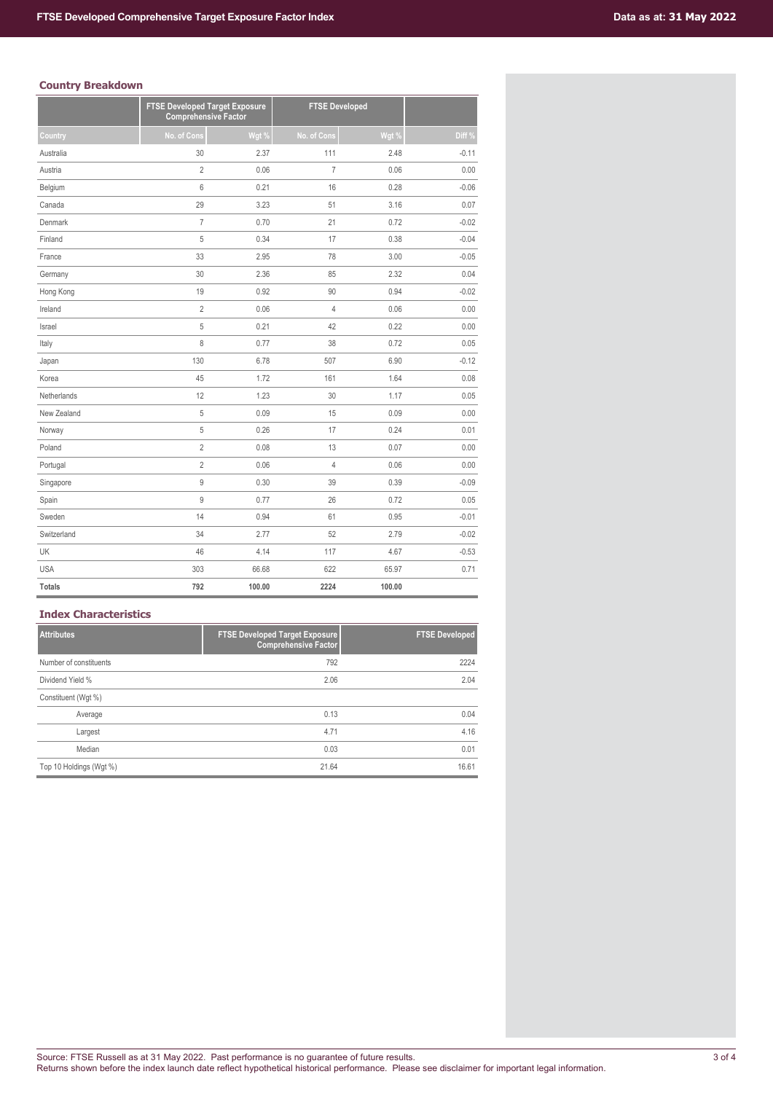## **Country Breakdown**

|               | <b>FTSE Developed Target Exposure</b><br><b>Comprehensive Factor</b> |        | <b>FTSE Developed</b> |        |         |
|---------------|----------------------------------------------------------------------|--------|-----------------------|--------|---------|
| Country       | No. of Cons                                                          | Wgt %  | No. of Cons           | Wgt %  | Diff %  |
| Australia     | 30                                                                   | 2.37   | 111                   | 2.48   | $-0.11$ |
| Austria       | $\overline{2}$                                                       | 0.06   | $\overline{7}$        | 0.06   | 0.00    |
| Belgium       | 6                                                                    | 0.21   | 16                    | 0.28   | $-0.06$ |
| Canada        | 29                                                                   | 3.23   | 51                    | 3.16   | 0.07    |
| Denmark       | $\overline{I}$                                                       | 0.70   | 21                    | 0.72   | $-0.02$ |
| Finland       | 5                                                                    | 0.34   | 17                    | 0.38   | $-0.04$ |
| France        | 33                                                                   | 2.95   | 78                    | 3.00   | $-0.05$ |
| Germany       | 30                                                                   | 2.36   | 85                    | 2.32   | 0.04    |
| Hong Kong     | 19                                                                   | 0.92   | 90                    | 0.94   | $-0.02$ |
| Ireland       | $\overline{2}$                                                       | 0.06   | $\overline{4}$        | 0.06   | 0.00    |
| Israel        | 5                                                                    | 0.21   | 42                    | 0.22   | 0.00    |
| Italy         | 8                                                                    | 0.77   | 38                    | 0.72   | 0.05    |
| Japan         | 130                                                                  | 6.78   | 507                   | 6.90   | $-0.12$ |
| Korea         | 45                                                                   | 1.72   | 161                   | 1.64   | 0.08    |
| Netherlands   | 12                                                                   | 1.23   | 30                    | 1.17   | 0.05    |
| New Zealand   | 5                                                                    | 0.09   | 15                    | 0.09   | 0.00    |
| Norway        | 5                                                                    | 0.26   | 17                    | 0.24   | 0.01    |
| Poland        | $\overline{2}$                                                       | 0.08   | 13                    | 0.07   | 0.00    |
| Portugal      | $\overline{2}$                                                       | 0.06   | $\overline{4}$        | 0.06   | 0.00    |
| Singapore     | 9                                                                    | 0.30   | 39                    | 0.39   | $-0.09$ |
| Spain         | 9                                                                    | 0.77   | 26                    | 0.72   | 0.05    |
| Sweden        | 14                                                                   | 0.94   | 61                    | 0.95   | $-0.01$ |
| Switzerland   | 34                                                                   | 2.77   | 52                    | 2.79   | $-0.02$ |
| UK            | 46                                                                   | 4.14   | 117                   | 4.67   | $-0.53$ |
| <b>USA</b>    | 303                                                                  | 66.68  | 622                   | 65.97  | 0.71    |
| <b>Totals</b> | 792                                                                  | 100.00 | 2224                  | 100.00 |         |

## **Index Characteristics**

| <b>Attributes</b>       | <b>FTSE Developed Target Exposure</b><br><b>Comprehensive Factor</b> | <b>FTSE Developed</b> |
|-------------------------|----------------------------------------------------------------------|-----------------------|
| Number of constituents  | 792                                                                  | 2224                  |
| Dividend Yield %        | 2.06                                                                 | 2.04                  |
| Constituent (Wgt %)     |                                                                      |                       |
| Average                 | 0.13                                                                 | 0.04                  |
| Largest                 | 4.71                                                                 | 4.16                  |
| Median                  | 0.03                                                                 | 0.01                  |
| Top 10 Holdings (Wgt %) | 21.64                                                                | 16.61                 |